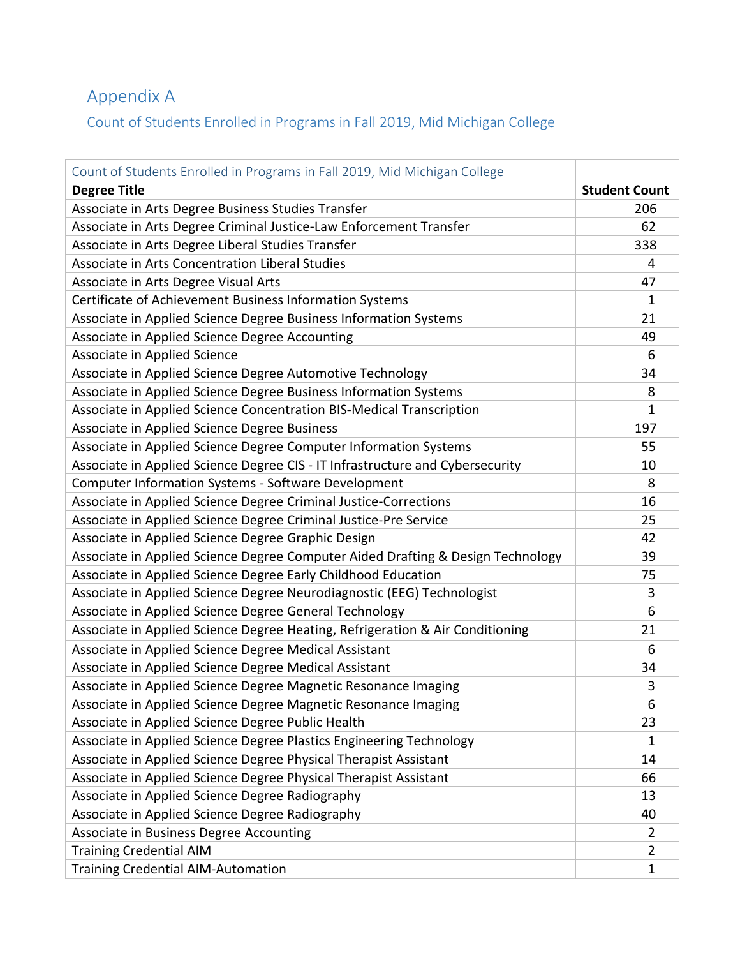## Appendix A

Count of Students Enrolled in Programs in Fall 2019, Mid Michigan College

| Count of Students Enrolled in Programs in Fall 2019, Mid Michigan College       |                      |
|---------------------------------------------------------------------------------|----------------------|
| <b>Degree Title</b>                                                             | <b>Student Count</b> |
| Associate in Arts Degree Business Studies Transfer                              | 206                  |
| Associate in Arts Degree Criminal Justice-Law Enforcement Transfer              | 62                   |
| Associate in Arts Degree Liberal Studies Transfer                               | 338                  |
| Associate in Arts Concentration Liberal Studies                                 | 4                    |
| Associate in Arts Degree Visual Arts                                            | 47                   |
| Certificate of Achievement Business Information Systems                         | 1                    |
| Associate in Applied Science Degree Business Information Systems                | 21                   |
| Associate in Applied Science Degree Accounting                                  | 49                   |
| Associate in Applied Science                                                    | 6                    |
| Associate in Applied Science Degree Automotive Technology                       | 34                   |
| Associate in Applied Science Degree Business Information Systems                | 8                    |
| Associate in Applied Science Concentration BIS-Medical Transcription            | 1                    |
| Associate in Applied Science Degree Business                                    | 197                  |
| Associate in Applied Science Degree Computer Information Systems                | 55                   |
| Associate in Applied Science Degree CIS - IT Infrastructure and Cybersecurity   | 10                   |
| <b>Computer Information Systems - Software Development</b>                      | 8                    |
| Associate in Applied Science Degree Criminal Justice-Corrections                | 16                   |
| Associate in Applied Science Degree Criminal Justice-Pre Service                | 25                   |
| Associate in Applied Science Degree Graphic Design                              | 42                   |
| Associate in Applied Science Degree Computer Aided Drafting & Design Technology | 39                   |
| Associate in Applied Science Degree Early Childhood Education                   | 75                   |
| Associate in Applied Science Degree Neurodiagnostic (EEG) Technologist          | 3                    |
| Associate in Applied Science Degree General Technology                          | 6                    |
| Associate in Applied Science Degree Heating, Refrigeration & Air Conditioning   | 21                   |
| Associate in Applied Science Degree Medical Assistant                           | 6                    |
| Associate in Applied Science Degree Medical Assistant                           | 34                   |
| Associate in Applied Science Degree Magnetic Resonance Imaging                  | 3                    |
| Associate in Applied Science Degree Magnetic Resonance Imaging                  | 6                    |
| Associate in Applied Science Degree Public Health                               | 23                   |
| Associate in Applied Science Degree Plastics Engineering Technology             | 1                    |
| Associate in Applied Science Degree Physical Therapist Assistant                | 14                   |
| Associate in Applied Science Degree Physical Therapist Assistant                | 66                   |
| Associate in Applied Science Degree Radiography                                 | 13                   |
| Associate in Applied Science Degree Radiography                                 | 40                   |
| Associate in Business Degree Accounting                                         | $\overline{2}$       |
| <b>Training Credential AIM</b>                                                  | $\overline{2}$       |
| <b>Training Credential AIM-Automation</b>                                       | 1                    |